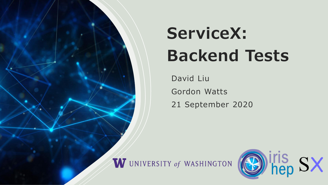

# **ServiceX: Backend Tests**

David Liu Gordon Watts 21 September 2020

W UNIVERSITY of WASHINGTON

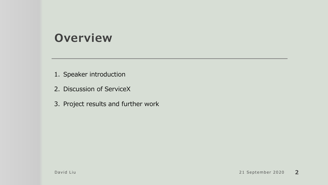#### **Overview**

- 1. Speaker introduction
- 2. Discussion of ServiceX
- 3. Project results and further work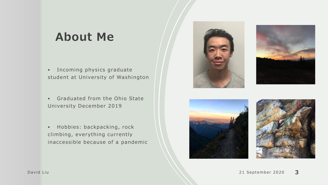# **About Me**

- Incoming physics graduate student at University of Washington
- Graduated from the Ohio State University December 2019
- Hobbies: backpacking, rock climbing, everything currently inaccessible because of a pandemic







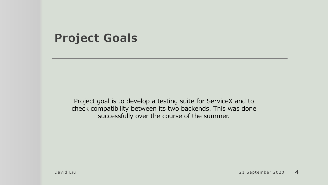#### **Project Goals**

Project goal is to develop a testing suite for ServiceX and to check compatibility between its two backends. This was done successfully over the course of the summer.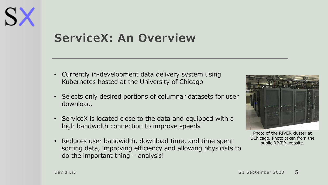

# **ServiceX: An Overview**

- Currently in-development data delivery system using Kubernetes hosted at the University of Chicago
- Selects only desired portions of columnar datasets for user download.
- ServiceX is located close to the data and equipped with a high bandwidth connection to improve speeds
- Reduces user bandwidth, download time, and time spent sorting data, improving efficiency and allowing physicists to do the important thing – analysis!



Photo of the RIVER cluster at UChicago. Photo taken from the public RIVER website.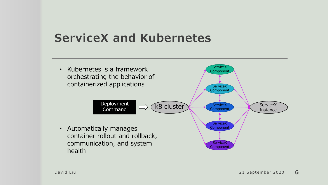# **ServiceX and Kubernetes**

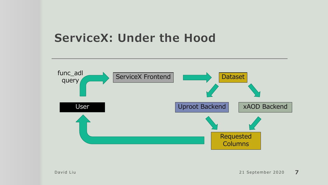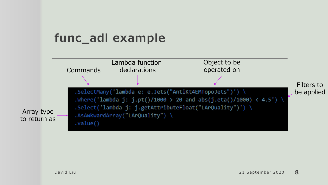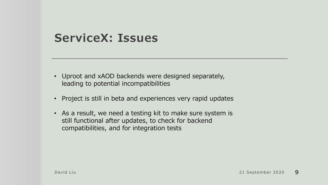#### **ServiceX: Issues**

- Uproot and xAOD backends were designed separately, leading to potential incompatibilities
- Project is still in beta and experiences very rapid updates
- As a result, we need a testing kit to make sure system is still functional after updates, to check for backend compatibilities, and for integration tests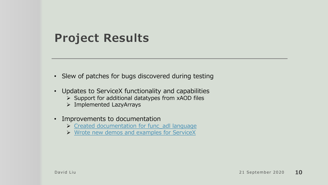### **Project Results**

- Slew of patches for bugs discovered during testing
- Updates to ServiceX functionality and capabilities
	- $\triangleright$  Support for additional datatypes from xAOD files
	- ➢ Implemented LazyArrays
- Improvements to documentation
	- ▶ [Created documentation for func\\_adl](https://github.com/iris-hep/func_adl/blob/master/documentation.md) language
	- ➢ [Wrote new demos and examples for ServiceX](https://github.com/d-w-liu/documentation/blob/1.0/ServiceX%20stuff/ElectronData_1.1.ipynb)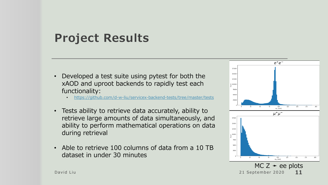## **Project Results**

- Developed a test suite using pytest for both the xAOD and uproot backends to rapidly test each functionality:
	- <https://github.com/d-w-liu/servicex-backend-tests/tree/master/tests>
- Tests ability to retrieve data accurately, ability to retrieve large amounts of data simultaneously, and ability to perform mathematical operations on data during retrieval
- Able to retrieve 100 columns of data from a 10 TB dataset in under 30 minutes

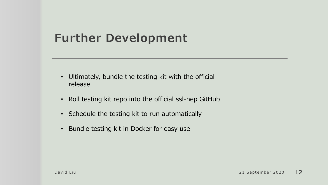# **Further Development**

- Ultimately, bundle the testing kit with the official release
- Roll testing kit repo into the official ssl-hep GitHub
- Schedule the testing kit to run automatically
- Bundle testing kit in Docker for easy use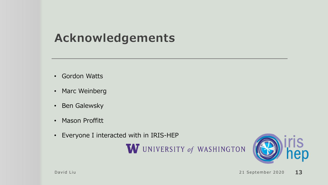# **Acknowledgements**

- Gordon Watts
- Marc Weinberg
- Ben Galewsky
- Mason Proffitt
- Everyone I interacted with in IRIS-HEP

W UNIVERSITY of WASHINGTON

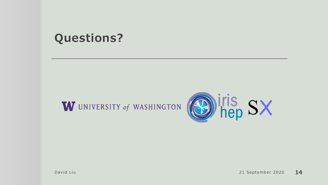## **Questions?**